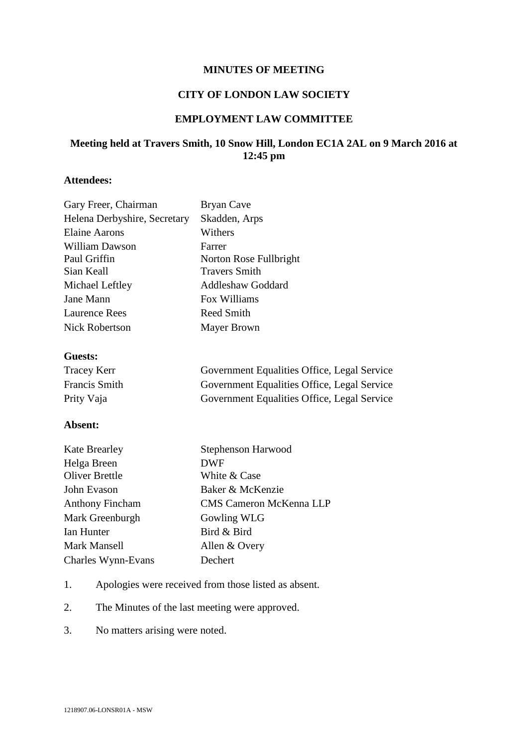#### **MINUTES OF MEETING**

### **CITY OF LONDON LAW SOCIETY**

## **EMPLOYMENT LAW COMMITTEE**

# **Meeting held at Travers Smith, 10 Snow Hill, London EC1A 2AL on 9 March 2016 at 12:45 pm**

# **Attendees:**

| Gary Freer, Chairman         | Bryan Cave               |
|------------------------------|--------------------------|
| Helena Derbyshire, Secretary | Skadden, Arps            |
| Elaine Aarons                | Withers                  |
| William Dawson               | Farrer                   |
| Paul Griffin                 | Norton Rose Fullbright   |
| Sian Keall                   | <b>Travers Smith</b>     |
| Michael Leftley              | <b>Addleshaw Goddard</b> |
| Jane Mann                    | Fox Williams             |
| <b>Laurence Rees</b>         | Reed Smith               |
| Nick Robertson               | Mayer Brown              |
|                              |                          |

#### **Guests:**

| <b>Tracey Kerr</b>   | Government Equalities Office, Legal Service |
|----------------------|---------------------------------------------|
| <b>Francis Smith</b> | Government Equalities Office, Legal Service |
| Prity Vaja           | Government Equalities Office, Legal Service |

### **Absent:**

| <b>Kate Brearley</b>   | Stephenson Harwood      |
|------------------------|-------------------------|
| Helga Breen            | <b>DWF</b>              |
| <b>Oliver Brettle</b>  | White & Case            |
| John Evason            | Baker & McKenzie        |
| <b>Anthony Fincham</b> | CMS Cameron McKenna LLP |
| Mark Greenburgh        | Gowling WLG             |
| Ian Hunter             | Bird & Bird             |
| Mark Mansell           | Allen & Overy           |
| Charles Wynn-Evans     | Dechert                 |

- 1. Apologies were received from those listed as absent.
- 2. The Minutes of the last meeting were approved.
- 3. No matters arising were noted.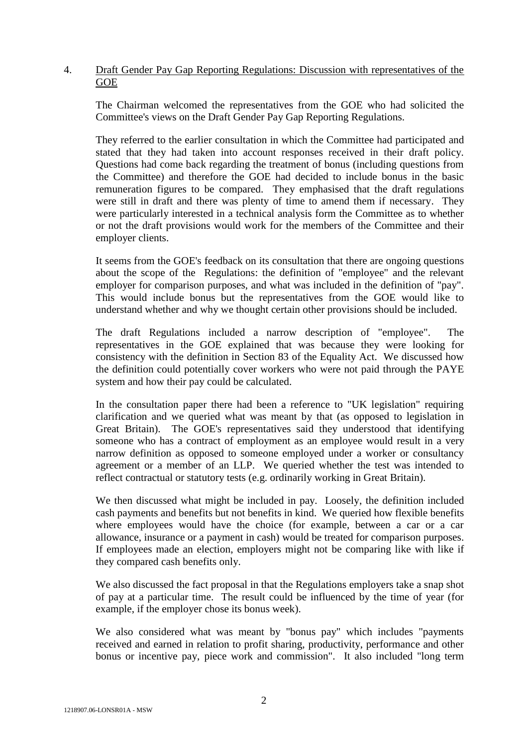## 4. Draft Gender Pay Gap Reporting Regulations: Discussion with representatives of the **GOE**

The Chairman welcomed the representatives from the GOE who had solicited the Committee's views on the Draft Gender Pay Gap Reporting Regulations.

They referred to the earlier consultation in which the Committee had participated and stated that they had taken into account responses received in their draft policy. Questions had come back regarding the treatment of bonus (including questions from the Committee) and therefore the GOE had decided to include bonus in the basic remuneration figures to be compared. They emphasised that the draft regulations were still in draft and there was plenty of time to amend them if necessary. They were particularly interested in a technical analysis form the Committee as to whether or not the draft provisions would work for the members of the Committee and their employer clients.

It seems from the GOE's feedback on its consultation that there are ongoing questions about the scope of the Regulations: the definition of "employee" and the relevant employer for comparison purposes, and what was included in the definition of "pay". This would include bonus but the representatives from the GOE would like to understand whether and why we thought certain other provisions should be included.

The draft Regulations included a narrow description of "employee". The representatives in the GOE explained that was because they were looking for consistency with the definition in Section 83 of the Equality Act. We discussed how the definition could potentially cover workers who were not paid through the PAYE system and how their pay could be calculated.

In the consultation paper there had been a reference to "UK legislation" requiring clarification and we queried what was meant by that (as opposed to legislation in Great Britain). The GOE's representatives said they understood that identifying someone who has a contract of employment as an employee would result in a very narrow definition as opposed to someone employed under a worker or consultancy agreement or a member of an LLP. We queried whether the test was intended to reflect contractual or statutory tests (e.g. ordinarily working in Great Britain).

We then discussed what might be included in pay. Loosely, the definition included cash payments and benefits but not benefits in kind. We queried how flexible benefits where employees would have the choice (for example, between a car or a car allowance, insurance or a payment in cash) would be treated for comparison purposes. If employees made an election, employers might not be comparing like with like if they compared cash benefits only.

We also discussed the fact proposal in that the Regulations employers take a snap shot of pay at a particular time. The result could be influenced by the time of year (for example, if the employer chose its bonus week).

We also considered what was meant by "bonus pay" which includes "payments received and earned in relation to profit sharing, productivity, performance and other bonus or incentive pay, piece work and commission". It also included "long term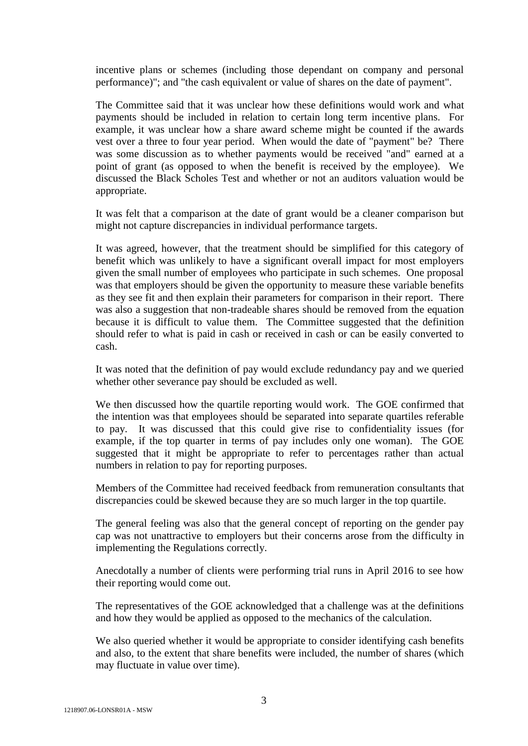incentive plans or schemes (including those dependant on company and personal performance)"; and "the cash equivalent or value of shares on the date of payment".

The Committee said that it was unclear how these definitions would work and what payments should be included in relation to certain long term incentive plans. For example, it was unclear how a share award scheme might be counted if the awards vest over a three to four year period. When would the date of "payment" be? There was some discussion as to whether payments would be received "and" earned at a point of grant (as opposed to when the benefit is received by the employee). We discussed the Black Scholes Test and whether or not an auditors valuation would be appropriate.

It was felt that a comparison at the date of grant would be a cleaner comparison but might not capture discrepancies in individual performance targets.

It was agreed, however, that the treatment should be simplified for this category of benefit which was unlikely to have a significant overall impact for most employers given the small number of employees who participate in such schemes. One proposal was that employers should be given the opportunity to measure these variable benefits as they see fit and then explain their parameters for comparison in their report. There was also a suggestion that non-tradeable shares should be removed from the equation because it is difficult to value them. The Committee suggested that the definition should refer to what is paid in cash or received in cash or can be easily converted to cash.

It was noted that the definition of pay would exclude redundancy pay and we queried whether other severance pay should be excluded as well.

We then discussed how the quartile reporting would work. The GOE confirmed that the intention was that employees should be separated into separate quartiles referable to pay. It was discussed that this could give rise to confidentiality issues (for example, if the top quarter in terms of pay includes only one woman). The GOE suggested that it might be appropriate to refer to percentages rather than actual numbers in relation to pay for reporting purposes.

Members of the Committee had received feedback from remuneration consultants that discrepancies could be skewed because they are so much larger in the top quartile.

The general feeling was also that the general concept of reporting on the gender pay cap was not unattractive to employers but their concerns arose from the difficulty in implementing the Regulations correctly.

Anecdotally a number of clients were performing trial runs in April 2016 to see how their reporting would come out.

The representatives of the GOE acknowledged that a challenge was at the definitions and how they would be applied as opposed to the mechanics of the calculation.

We also queried whether it would be appropriate to consider identifying cash benefits and also, to the extent that share benefits were included, the number of shares (which may fluctuate in value over time).